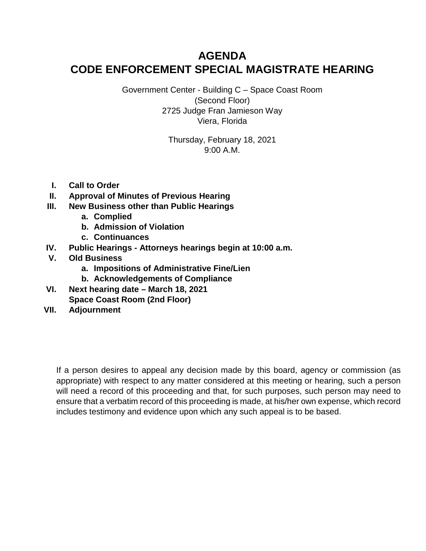# **AGENDA CODE ENFORCEMENT SPECIAL MAGISTRATE HEARING**

Government Center - Building C – Space Coast Room (Second Floor) 2725 Judge Fran Jamieson Way Viera, Florida

> Thursday, February 18, 2021 9:00 A.M.

- **I. Call to Order**
- **II. Approval of Minutes of Previous Hearing**
- **III. New Business other than Public Hearings**
	- **a. Complied**
	- **b. Admission of Violation**
	- **c. Continuances**
- **IV. Public Hearings Attorneys hearings begin at 10:00 a.m.**
- **V. Old Business**
	- **a. Impositions of Administrative Fine/Lien**
	- **b. Acknowledgements of Compliance**
- **VI. Next hearing date March 18, 2021 Space Coast Room (2nd Floor)**
- **VII. Adjournment**

If a person desires to appeal any decision made by this board, agency or commission (as appropriate) with respect to any matter considered at this meeting or hearing, such a person will need a record of this proceeding and that, for such purposes, such person may need to ensure that a verbatim record of this proceeding is made, at his/her own expense, which record includes testimony and evidence upon which any such appeal is to be based.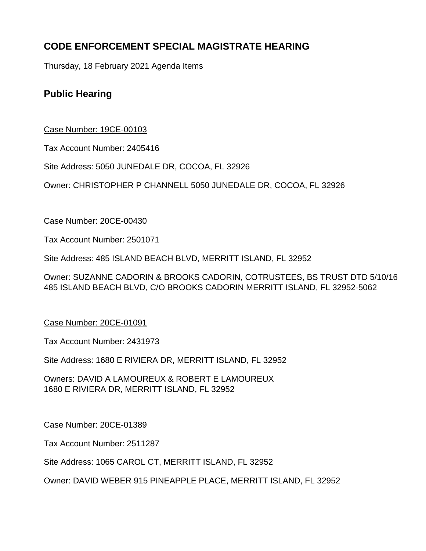# **CODE ENFORCEMENT SPECIAL MAGISTRATE HEARING**

Thursday, 18 February 2021 Agenda Items

# **Public Hearing**

# Case Number: 19CE-00103

Tax Account Number: 2405416

Site Address: 5050 JUNEDALE DR, COCOA, FL 32926

Owner: CHRISTOPHER P CHANNELL 5050 JUNEDALE DR, COCOA, FL 32926

## Case Number: 20CE-00430

Tax Account Number: 2501071

Site Address: 485 ISLAND BEACH BLVD, MERRITT ISLAND, FL 32952

Owner: SUZANNE CADORIN & BROOKS CADORIN, COTRUSTEES, BS TRUST DTD 5/10/16 485 ISLAND BEACH BLVD, C/O BROOKS CADORIN MERRITT ISLAND, FL 32952-5062

# Case Number: 20CE-01091

Tax Account Number: 2431973

Site Address: 1680 E RIVIERA DR, MERRITT ISLAND, FL 32952

Owners: DAVID A LAMOUREUX & ROBERT E LAMOUREUX 1680 E RIVIERA DR, MERRITT ISLAND, FL 32952

## Case Number: 20CE-01389

Tax Account Number: 2511287

Site Address: 1065 CAROL CT, MERRITT ISLAND, FL 32952

Owner: DAVID WEBER 915 PINEAPPLE PLACE, MERRITT ISLAND, FL 32952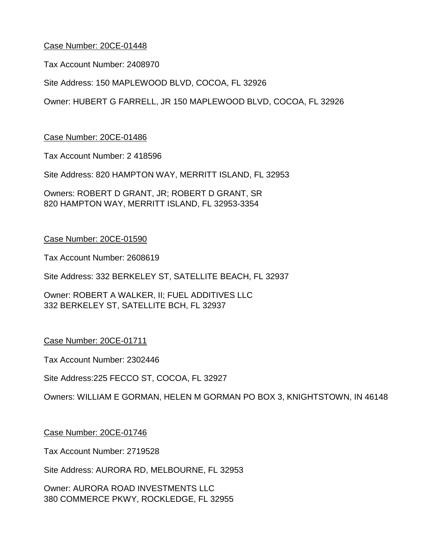Tax Account Number: 2408970

Site Address: 150 MAPLEWOOD BLVD, COCOA, FL 32926

Owner: HUBERT G FARRELL, JR 150 MAPLEWOOD BLVD, COCOA, FL 32926

Case Number: 20CE-01486

Tax Account Number: 2 418596

Site Address: 820 HAMPTON WAY, MERRITT ISLAND, FL 32953

Owners: ROBERT D GRANT, JR; ROBERT D GRANT, SR 820 HAMPTON WAY, MERRITT ISLAND, FL 32953-3354

#### Case Number: 20CE-01590

Tax Account Number: 2608619

Site Address: 332 BERKELEY ST, SATELLITE BEACH, FL 32937

Owner: ROBERT A WALKER, II; FUEL ADDITIVES LLC 332 BERKELEY ST, SATELLITE BCH, FL 32937

Case Number: 20CE-01711

Tax Account Number: 2302446

Site Address:225 FECCO ST, COCOA, FL 32927

Owners: WILLIAM E GORMAN, HELEN M GORMAN PO BOX 3, KNIGHTSTOWN, IN 46148

Case Number: 20CE-01746

Tax Account Number: 2719528

Site Address: AURORA RD, MELBOURNE, FL 32953

Owner: AURORA ROAD INVESTMENTS LLC 380 COMMERCE PKWY, ROCKLEDGE, FL 32955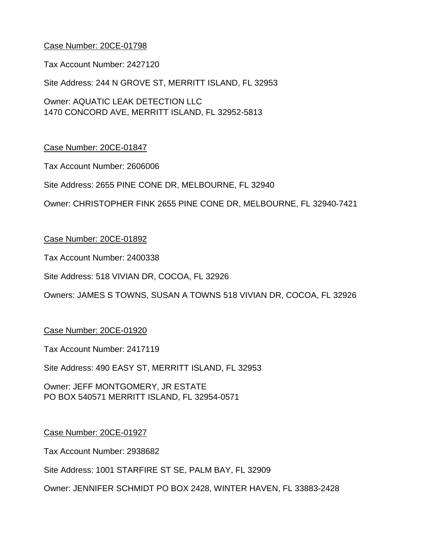Tax Account Number: 2427120

Site Address: 244 N GROVE ST, MERRITT ISLAND, FL 32953

Owner: AQUATIC LEAK DETECTION LLC 1470 CONCORD AVE, MERRITT ISLAND, FL 32952-5813

## Case Number: 20CE-01847

Tax Account Number: 2606006

Site Address: 2655 PINE CONE DR, MELBOURNE, FL 32940

Owner: CHRISTOPHER FINK 2655 PINE CONE DR, MELBOURNE, FL 32940-7421

#### Case Number: 20CE-01892

Tax Account Number: 2400338

Site Address: 518 VIVIAN DR, COCOA, FL 32926

Owners: JAMES S TOWNS, SUSAN A TOWNS 518 VIVIAN DR, COCOA, FL 32926

#### Case Number: 20CE-01920

Tax Account Number: 2417119

Site Address: 490 EASY ST, MERRITT ISLAND, FL 32953

Owner: JEFF MONTGOMERY, JR ESTATE PO BOX 540571 MERRITT ISLAND, FL 32954-0571

#### Case Number: 20CE-01927

Tax Account Number: 2938682

Site Address: 1001 STARFIRE ST SE, PALM BAY, FL 32909

Owner: JENNIFER SCHMIDT PO BOX 2428, WINTER HAVEN, FL 33883-2428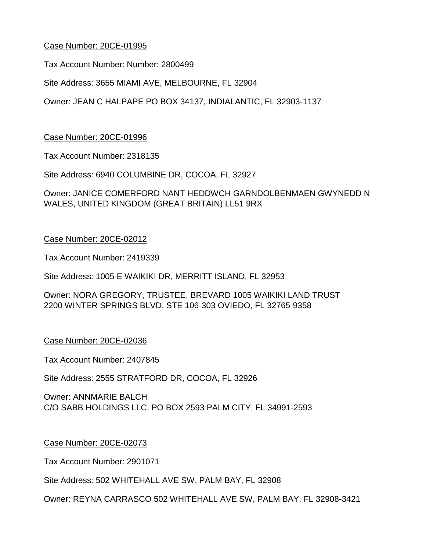Tax Account Number: Number: 2800499

Site Address: 3655 MIAMI AVE, MELBOURNE, FL 32904

Owner: JEAN C HALPAPE PO BOX 34137, INDIALANTIC, FL 32903-1137

## Case Number: 20CE-01996

Tax Account Number: 2318135

Site Address: 6940 COLUMBINE DR, COCOA, FL 32927

Owner: JANICE COMERFORD NANT HEDDWCH GARNDOLBENMAEN GWYNEDD N WALES, UNITED KINGDOM (GREAT BRITAIN) LL51 9RX

## Case Number: 20CE-02012

Tax Account Number: 2419339

Site Address: 1005 E WAIKIKI DR, MERRITT ISLAND, FL 32953

Owner: NORA GREGORY, TRUSTEE, BREVARD 1005 WAIKIKI LAND TRUST 2200 WINTER SPRINGS BLVD, STE 106-303 OVIEDO, FL 32765-9358

## Case Number: 20CE-02036

Tax Account Number: 2407845

Site Address: 2555 STRATFORD DR, COCOA, FL 32926

Owner: ANNMARIE BALCH C/O SABB HOLDINGS LLC, PO BOX 2593 PALM CITY, FL 34991-2593

## Case Number: 20CE-02073

Tax Account Number: 2901071

Site Address: 502 WHITEHALL AVE SW, PALM BAY, FL 32908

Owner: REYNA CARRASCO 502 WHITEHALL AVE SW, PALM BAY, FL 32908-3421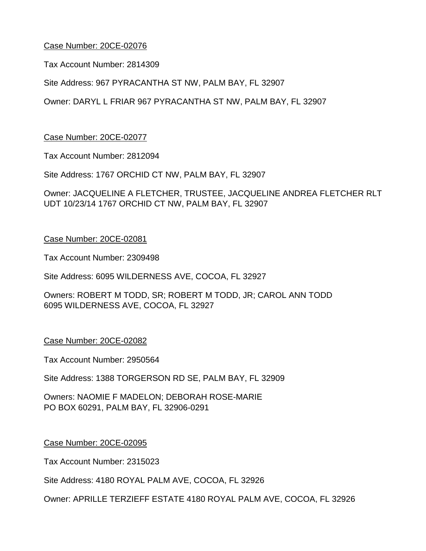Tax Account Number: 2814309

Site Address: 967 PYRACANTHA ST NW, PALM BAY, FL 32907

Owner: DARYL L FRIAR 967 PYRACANTHA ST NW, PALM BAY, FL 32907

Case Number: 20CE-02077

Tax Account Number: 2812094

Site Address: 1767 ORCHID CT NW, PALM BAY, FL 32907

Owner: JACQUELINE A FLETCHER, TRUSTEE, JACQUELINE ANDREA FLETCHER RLT UDT 10/23/14 1767 ORCHID CT NW, PALM BAY, FL 32907

#### Case Number: 20CE-02081

Tax Account Number: 2309498

Site Address: 6095 WILDERNESS AVE, COCOA, FL 32927

Owners: ROBERT M TODD, SR; ROBERT M TODD, JR; CAROL ANN TODD 6095 WILDERNESS AVE, COCOA, FL 32927

## Case Number: 20CE-02082

Tax Account Number: 2950564

Site Address: 1388 TORGERSON RD SE, PALM BAY, FL 32909

Owners: NAOMIE F MADELON; DEBORAH ROSE-MARIE PO BOX 60291, PALM BAY, FL 32906-0291

#### Case Number: 20CE-02095

Tax Account Number: 2315023

Site Address: 4180 ROYAL PALM AVE, COCOA, FL 32926

Owner: APRILLE TERZIEFF ESTATE 4180 ROYAL PALM AVE, COCOA, FL 32926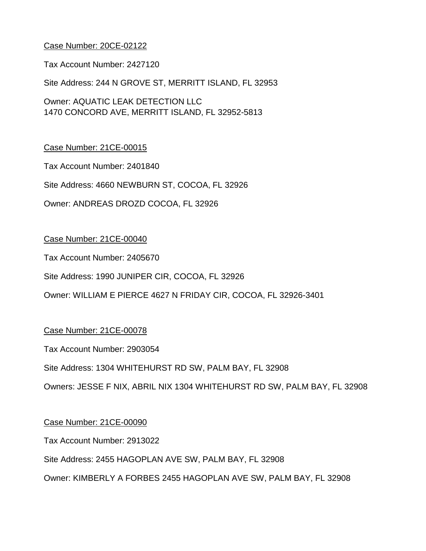Tax Account Number: 2427120

Site Address: 244 N GROVE ST, MERRITT ISLAND, FL 32953

Owner: AQUATIC LEAK DETECTION LLC 1470 CONCORD AVE, MERRITT ISLAND, FL 32952-5813

## Case Number: 21CE-00015

Tax Account Number: 2401840

Site Address: 4660 NEWBURN ST, COCOA, FL 32926

Owner: ANDREAS DROZD COCOA, FL 32926

#### Case Number: 21CE-00040

Tax Account Number: 2405670

Site Address: 1990 JUNIPER CIR, COCOA, FL 32926

Owner: WILLIAM E PIERCE 4627 N FRIDAY CIR, COCOA, FL 32926-3401

## Case Number: 21CE-00078

Tax Account Number: 2903054

Site Address: 1304 WHITEHURST RD SW, PALM BAY, FL 32908

Owners: JESSE F NIX, ABRIL NIX 1304 WHITEHURST RD SW, PALM BAY, FL 32908

#### Case Number: 21CE-00090

Tax Account Number: 2913022

Site Address: 2455 HAGOPLAN AVE SW, PALM BAY, FL 32908

Owner: KIMBERLY A FORBES 2455 HAGOPLAN AVE SW, PALM BAY, FL 32908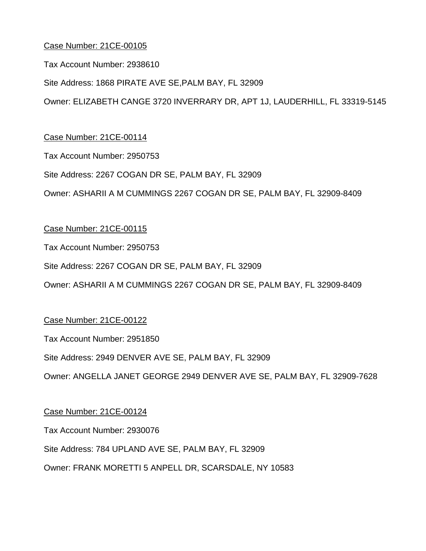Tax Account Number: 2938610

Site Address: 1868 PIRATE AVE SE,PALM BAY, FL 32909

Owner: ELIZABETH CANGE 3720 INVERRARY DR, APT 1J, LAUDERHILL, FL 33319-5145

## Case Number: 21CE-00114

Tax Account Number: 2950753

#### Site Address: 2267 COGAN DR SE, PALM BAY, FL 32909

Owner: ASHARII A M CUMMINGS 2267 COGAN DR SE, PALM BAY, FL 32909-8409

## Case Number: 21CE-00115

Tax Account Number: 2950753

#### Site Address: 2267 COGAN DR SE, PALM BAY, FL 32909

Owner: ASHARII A M CUMMINGS 2267 COGAN DR SE, PALM BAY, FL 32909-8409

## Case Number: 21CE-00122

Tax Account Number: 2951850

## Site Address: 2949 DENVER AVE SE, PALM BAY, FL 32909

Owner: ANGELLA JANET GEORGE 2949 DENVER AVE SE, PALM BAY, FL 32909-7628

## Case Number: 21CE-00124

Tax Account Number: 2930076

## Site Address: 784 UPLAND AVE SE, PALM BAY, FL 32909

Owner: FRANK MORETTI 5 ANPELL DR, SCARSDALE, NY 10583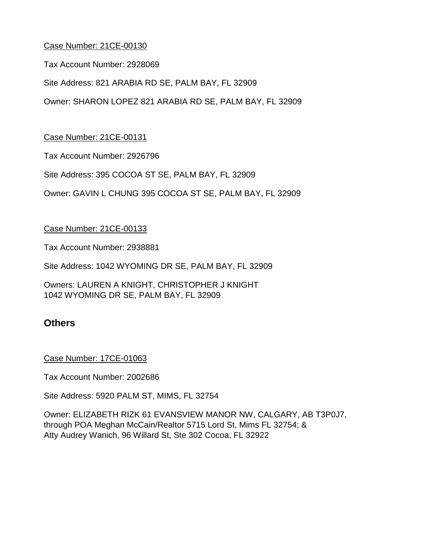Tax Account Number: 2928069

Site Address: 821 ARABIA RD SE, PALM BAY, FL 32909

Owner: SHARON LOPEZ 821 ARABIA RD SE, PALM BAY, FL 32909

## Case Number: 21CE-00131

Tax Account Number: 2926796

Site Address: 395 COCOA ST SE, PALM BAY, FL 32909

Owner: GAVIN L CHUNG 395 COCOA ST SE, PALM BAY, FL 32909

## Case Number: 21CE-00133

Tax Account Number: 2938881

Site Address: 1042 WYOMING DR SE, PALM BAY, FL 32909

Owners: LAUREN A KNIGHT, CHRISTOPHER J KNIGHT 1042 WYOMING DR SE, PALM BAY, FL 32909

# **Others**

## Case Number: 17CE-01063

Tax Account Number: 2002686

Site Address: 5920 PALM ST, MIMS, FL 32754

Owner: ELIZABETH RIZK 61 EVANSVIEW MANOR NW, CALGARY, AB T3P0J7, through POA Meghan McCain/Realtor 5715 Lord St, Mims FL 32754; & Atty Audrey Wanich, 96 Willard St, Ste 302 Cocoa, FL 32922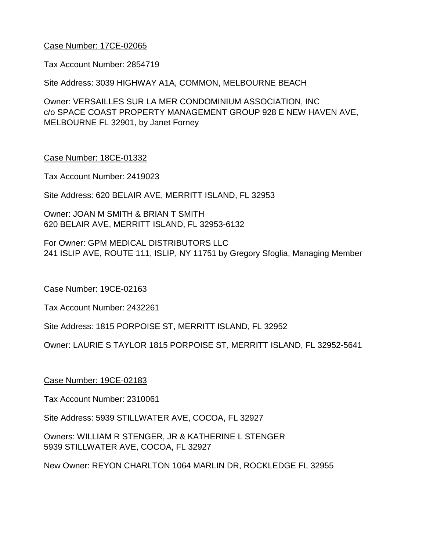## Case Number: 17CE-02065

Tax Account Number: 2854719

Site Address: 3039 HIGHWAY A1A, COMMON, MELBOURNE BEACH

Owner: VERSAILLES SUR LA MER CONDOMINIUM ASSOCIATION, INC c/o SPACE COAST PROPERTY MANAGEMENT GROUP 928 E NEW HAVEN AVE, MELBOURNE FL 32901, by Janet Forney

#### Case Number: 18CE-01332

Tax Account Number: 2419023

Site Address: 620 BELAIR AVE, MERRITT ISLAND, FL 32953

Owner: JOAN M SMITH & BRIAN T SMITH 620 BELAIR AVE, MERRITT ISLAND, FL 32953-6132

For Owner: GPM MEDICAL DISTRIBUTORS LLC 241 ISLIP AVE, ROUTE 111, ISLIP, NY 11751 by Gregory Sfoglia, Managing Member

## Case Number: 19CE-02163

Tax Account Number: 2432261

Site Address: 1815 PORPOISE ST, MERRITT ISLAND, FL 32952

Owner: LAURIE S TAYLOR 1815 PORPOISE ST, MERRITT ISLAND, FL 32952-5641

## Case Number: 19CE-02183

Tax Account Number: 2310061

Site Address: 5939 STILLWATER AVE, COCOA, FL 32927

Owners: WILLIAM R STENGER, JR & KATHERINE L STENGER 5939 STILLWATER AVE, COCOA, FL 32927

New Owner: REYON CHARLTON 1064 MARLIN DR, ROCKLEDGE FL 32955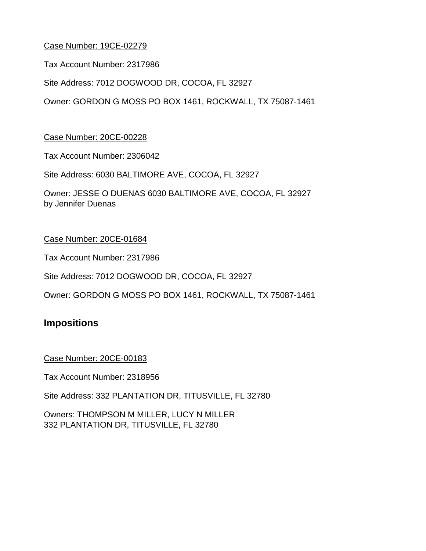Case Number: 19CE-02279

Tax Account Number: 2317986

Site Address: 7012 DOGWOOD DR, COCOA, FL 32927

Owner: GORDON G MOSS PO BOX 1461, ROCKWALL, TX 75087-1461

## Case Number: 20CE-00228

Tax Account Number: 2306042

Site Address: 6030 BALTIMORE AVE, COCOA, FL 32927

Owner: JESSE O DUENAS 6030 BALTIMORE AVE, COCOA, FL 32927 by Jennifer Duenas

## Case Number: 20CE-01684

Tax Account Number: 2317986

Site Address: 7012 DOGWOOD DR, COCOA, FL 32927

Owner: GORDON G MOSS PO BOX 1461, ROCKWALL, TX 75087-1461

# **Impositions**

Case Number: 20CE-00183

Tax Account Number: 2318956

Site Address: 332 PLANTATION DR, TITUSVILLE, FL 32780

Owners: THOMPSON M MILLER, LUCY N MILLER 332 PLANTATION DR, TITUSVILLE, FL 32780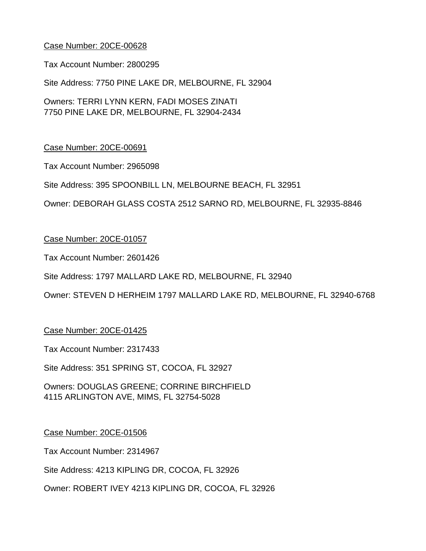Tax Account Number: 2800295

Site Address: 7750 PINE LAKE DR, MELBOURNE, FL 32904

Owners: TERRI LYNN KERN, FADI MOSES ZINATI 7750 PINE LAKE DR, MELBOURNE, FL 32904-2434

## Case Number: 20CE-00691

Tax Account Number: 2965098

Site Address: 395 SPOONBILL LN, MELBOURNE BEACH, FL 32951

Owner: DEBORAH GLASS COSTA 2512 SARNO RD, MELBOURNE, FL 32935-8846

#### Case Number: 20CE-01057

Tax Account Number: 2601426

Site Address: 1797 MALLARD LAKE RD, MELBOURNE, FL 32940

Owner: STEVEN D HERHEIM 1797 MALLARD LAKE RD, MELBOURNE, FL 32940-6768

#### Case Number: 20CE-01425

Tax Account Number: 2317433

Site Address: 351 SPRING ST, COCOA, FL 32927

Owners: DOUGLAS GREENE; CORRINE BIRCHFIELD 4115 ARLINGTON AVE, MIMS, FL 32754-5028

#### Case Number: 20CE-01506

Tax Account Number: 2314967

Site Address: 4213 KIPLING DR, COCOA, FL 32926

Owner: ROBERT IVEY 4213 KIPLING DR, COCOA, FL 32926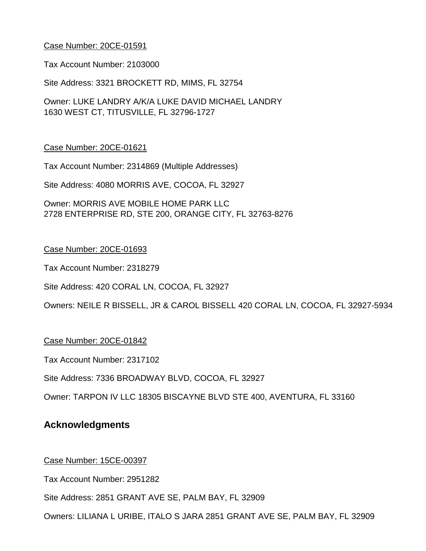Tax Account Number: 2103000

Site Address: 3321 BROCKETT RD, MIMS, FL 32754

Owner: LUKE LANDRY A/K/A LUKE DAVID MICHAEL LANDRY 1630 WEST CT, TITUSVILLE, FL 32796-1727

#### Case Number: 20CE-01621

Tax Account Number: 2314869 (Multiple Addresses)

Site Address: 4080 MORRIS AVE, COCOA, FL 32927

Owner: MORRIS AVE MOBILE HOME PARK LLC 2728 ENTERPRISE RD, STE 200, ORANGE CITY, FL 32763-8276

## Case Number: 20CE-01693

Tax Account Number: 2318279

Site Address: 420 CORAL LN, COCOA, FL 32927

Owners: NEILE R BISSELL, JR & CAROL BISSELL 420 CORAL LN, COCOA, FL 32927-5934

## Case Number: 20CE-01842

Tax Account Number: 2317102

Site Address: 7336 BROADWAY BLVD, COCOA, FL 32927

Owner: TARPON IV LLC 18305 BISCAYNE BLVD STE 400, AVENTURA, FL 33160

# **Acknowledgments**

#### Case Number: 15CE-00397

Tax Account Number: 2951282

Site Address: 2851 GRANT AVE SE, PALM BAY, FL 32909

Owners: LILIANA L URIBE, ITALO S JARA 2851 GRANT AVE SE, PALM BAY, FL 32909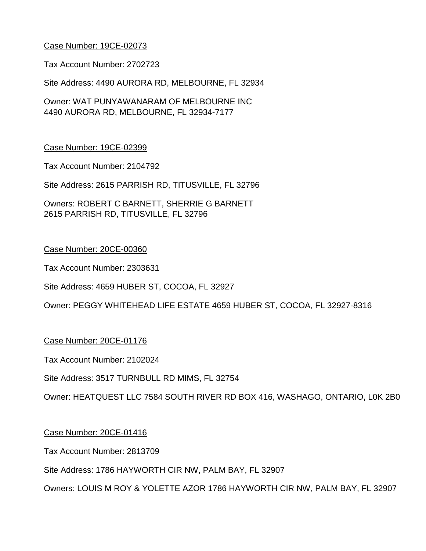## Case Number: 19CE-02073

Tax Account Number: 2702723

Site Address: 4490 AURORA RD, MELBOURNE, FL 32934

Owner: WAT PUNYAWANARAM OF MELBOURNE INC 4490 AURORA RD, MELBOURNE, FL 32934-7177

## Case Number: 19CE-02399

Tax Account Number: 2104792

Site Address: 2615 PARRISH RD, TITUSVILLE, FL 32796

Owners: ROBERT C BARNETT, SHERRIE G BARNETT 2615 PARRISH RD, TITUSVILLE, FL 32796

## Case Number: 20CE-00360

Tax Account Number: 2303631

Site Address: 4659 HUBER ST, COCOA, FL 32927

Owner: PEGGY WHITEHEAD LIFE ESTATE 4659 HUBER ST, COCOA, FL 32927-8316

## Case Number: 20CE-01176

Tax Account Number: 2102024

Site Address: 3517 TURNBULL RD MIMS, FL 32754

Owner: HEATQUEST LLC 7584 SOUTH RIVER RD BOX 416, WASHAGO, ONTARIO, L0K 2B0

## Case Number: 20CE-01416

Tax Account Number: 2813709

Site Address: 1786 HAYWORTH CIR NW, PALM BAY, FL 32907

Owners: LOUIS M ROY & YOLETTE AZOR 1786 HAYWORTH CIR NW, PALM BAY, FL 32907